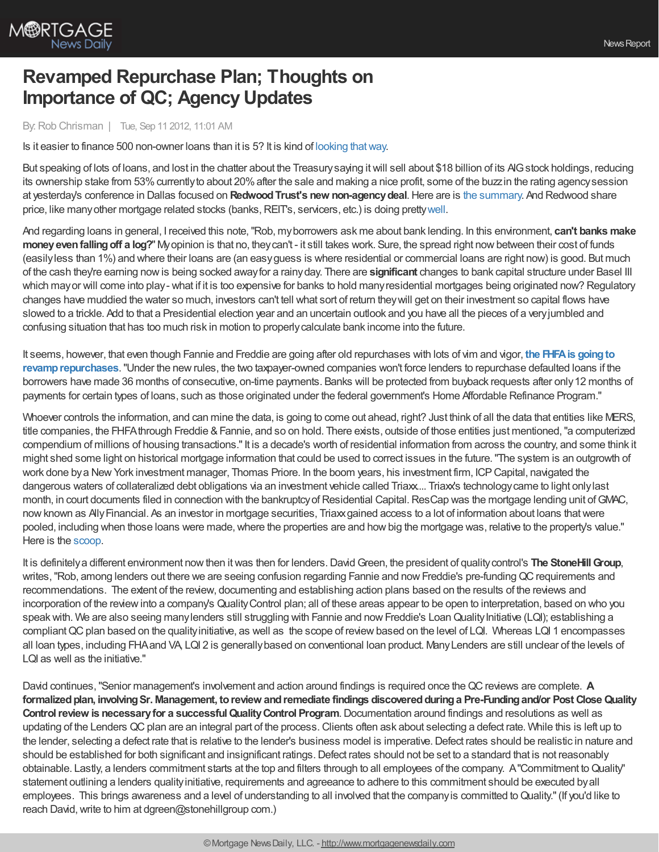

## **Revamped Repurchase Plan; Thoughts on Importance of QC; Agency Updates**

By:Rob Chrisman | Tue, Sep 11 2012, 11:01 AM

Is it easier to finance 500 non-owner loans than it is 5? It is kind of looking [thatway](http://www.reuters.com/article/2012/09/04/us-real-estate-banks-idUSL2E8K46VK20120904).

But speaking of lots of loans, and lost in the chatter about the Treasurysaying itwill sell about \$18 billion of its AIGstock holdings, reducing its ownership stake from 53% currently to about 20% after the sale and making a nice profit, some of the buzzin the rating agency session at yesterday's conference in Dallas focused on **RedwoodTrust's new non-agencydeal**.Here are is the [summary](http://www.bloomberg.com/news/2012-09-10/redwood-to-sell-securities-backed-by-313-2-million-of-mortgages.html). And Redwood share price, like many other mortgage related stocks (banks, REIT's, servicers, etc.) is doing pretty [well](http://community.nasdaq.com/News/2012-09/redwood-trust-momentum.aspx?storyid=171358).

And regarding loans in general, I received this note,"Rob, myborrowers ask me about bank lending. In this environment, **can't banks make moneyevenfallingoff a log?**" Myopinion is that no, theycan't - it still takes work. Sure, the spread right nowbetween their cost of funds (easilyless than 1%) and where their loans are (an easyguess is where residential or commercial loans are right now) is good. But much of the cash they're earning nowis being socked awayfor a rainyday. There are **significant** changes to bank capital structure under Basel III which may or will come into play-what if it is too expensive for banks to hold many residential mortgages being originated now? Regulatory changes have muddied the water so much, investors can't tell what sort of return theywill get on their investment so capital flows have slowed to a trickle. Add to that a Presidential election year and an uncertain outlook and you have all the pieces of a veryjumbled and confusing situation that has too much risk in motion to properlycalculate bank income into the future.

It seems, however, that even though Fannie and Freddie are going after old repurchases with lots of vim and vigor, **the FHFAis goingto [revamprepurchases](http://www.mortgagenewsdaily.com/09112012_mortgage_lending.asp)**."Under the newrules, the two taxpayer-owned companies won't force lenders to repurchase defaulted loans if the borrowers have made 36 months of consecutive, on-time payments. Banks will be protected from buyback requests after only12 months of payments for certain types of loans, such as those originated under the federal government's Home Affordable Refinance Program."

Whoever controls the information, and can mine the data, is going to come out ahead, right? Just think of all the data that entities like MERS, title companies, the FHFAthrough Freddie & Fannie, and so on hold. There exists, outside of those entities just mentioned, "a computerized compendium of millions of housing transactions."It is a decade's worth of residential information from across the country, and some think it might shed some light on historical mortgage information that could be used to correct issues in the future."The system is an outgrowth of work done bya NewYork investment manager, Thomas Priore. In the boom years, his investment firm, ICPCapital, navigated the dangerous waters of collateralized debt obligations via an investment vehicle called Triaxx... Triax's technology came to light only last month, in court documents filed in connection with the bankruptcy of Residential Capital. ResCap was the mortgage lending unit of GMAC, nowknown as AllyFinancial. As an investor in mortgage securities, Triaxxgained access to a lot of information about loans thatwere pooled, including when those loans were made, where the properties are and how big the mortgage was, relative to the property's value." Here is the [scoop.](http://www.nytimes.com/2012/09/09/business/how-to-find-weeds-in-a-mortgage-pool-fair-game.html?_r=1)

It is definitelya different environment nowthen itwas then for lenders.DavidGreen, the president of qualitycontrol's **The StoneHillGroup**, writes, "Rob, among lenders out there we are seeing confusion regarding Fannie and now Freddie's pre-funding QC requirements and recommendations. The extent of the review, documenting and establishing action plans based on the results of the reviews and incorporation of the review into a company's Quality Control plan; all of these areas appear to be open to interpretation, based on who you speak with. We are also seeing many lenders still struggling with Fannie and now Freddie's Loan Quality Initiative (LQI); establishing a compliant QC plan based on the quality initiative, as well as the scope of review based on the level of LQI. Whereas LQI 1 encompasses all loan types, including FHAand VA, LQI 2 is generallybased on conventional loan product. ManyLenders are still unclear of the levels of LQI as well as the initiative."

David continues,"Senior management's involvement and action around findings is required once theQCreviews are complete. **A formalizedplan, involvingSr. Management, toreview andremediate findings discoveredduringa Pre-Fundingand/or Post CloseQuality Controlreview is necessaryfor a successfulQualityControl Program**.Documentation around findings and resolutions as well as updating of the Lenders QC plan are an integral part of the process. Clients often ask about selecting a defect rate. While this is left up to the lender, selecting a defect rate that is relative to the lender's business model is imperative.Defect rates should be realistic in nature and should be established for both significant and insignificant ratings.Defect rates should not be set to a standard that is not reasonably obtainable. Lastly, a lenders commitment starts at the top and filters through to all employees of the company. A"Commitment toQuality" statement outlining a lenders qualityinitiative, requirements and agreeance to adhere to this commitment should be executed byall employees. This brings awareness and a level of understanding to all involved that the company is committed to Quality." (If you'd like to reach David, write to him at dgreen@stonehillgroup com.)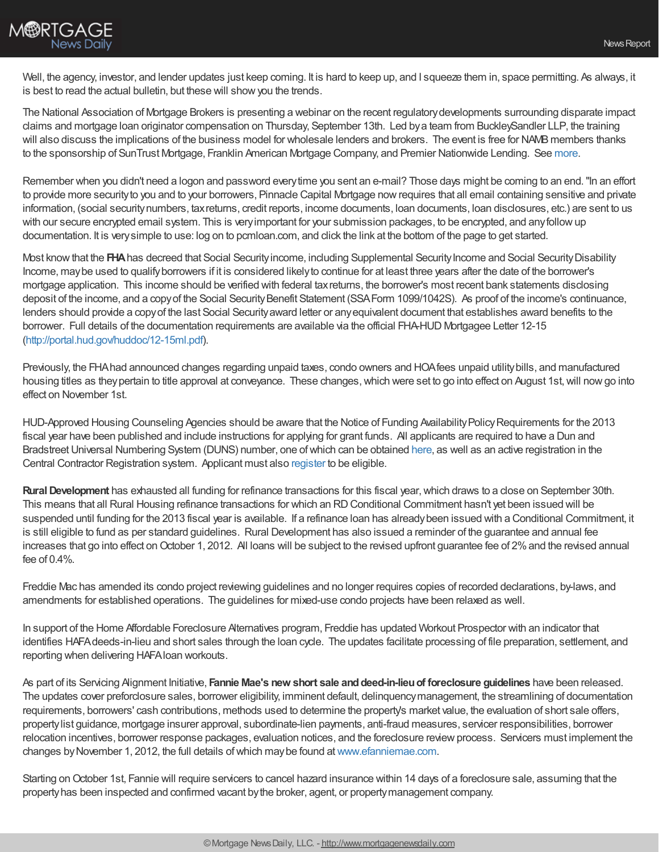

Well, the agency, investor, and lender updates just keep coming. It is hard to keep up, and I squeeze them in, space permitting. As always, it is best to read the actual bulletin, but these will show you the trends.

The National Association of Mortgage Brokers is presenting a webinar on the recent regulatorydevelopments surrounding disparate impact claims and mortgage loan originator compensation on Thursday, September 13th. Led bya team from BuckleySandler LLP, the training will also discuss the implications of the business model for wholesale lenders and brokers. The event is free for NAMB members thanks to the sponsorship of SunTrust Mortgage, Franklin American Mortgage Company, and Premier Nationwide Lending. See [more](http://r20.rs6.net/tn.jsp?e=001zTXbSiduG-RLgxZ-JC8NdC0U6dDZBsst7bCQ7r_qwMibgWD6YIjI_CcRphyyL6WCcfW3ULrRqFQbV8MsHfQDPZSS1h4wBC_QHFvK0DwCt5hg0hPVKfdZJmqTNZ3O4OFNY9aaenf5wzQbrD_I-W2I5Q).

Remember when you didn't need a logon and password everytime you sent an e-mail? Those days might be coming to an end."In an effort to provide more securityto you and to your borrowers, Pinnacle Capital Mortgage nowrequires that all email containing sensitive and private information, (social securitynumbers, taxreturns, credit reports, income documents, loan documents, loan disclosures, etc.) are sent to us with our secure encrypted email system. This is veryimportant for your submission packages, to be encrypted, and anyfollowup documentation. It is verysimple to use: log on to pcmloan.com, and click the link at the bottom of the page to get started.

Most know that the **FHA** has decreed that Social Security income, including Supplemental Security Income and Social Security Disability Income, maybe used to qualifyborrowers if it is considered likelyto continue for at least three years after the date of the borrower's mortgage application. This income should be verified with federal taxreturns, the borrower's most recent bank statements disclosing deposit of the income, and a copy of the Social Security Benefit Statement (SSAForm 1099/1042S). As proof of the income's continuance, lenders should provide a copyof the last Social Securityaward letter or anyequivalent document that establishes award benefits to the borrower. Full details of the documentation requirements are available via the official FHA-HUD Mortgagee Letter 12-15 [\(http://portal.hud.gov/huddoc/12-15ml.pdf](http://portal.hud.gov/huddoc/12-15ml.pdf)).

Previously, the FHAhad announced changes regarding unpaid taxes, condo owners and HOAfees unpaid utilitybills, and manufactured housing titles as theypertain to title approval at conveyance. These changes,which were set to go into effect on August 1st,will nowgo into effect on November 1st.

HUD-Approved Housing Counseling Agencies should be aware that the Notice of Funding Availability Policy Requirements for the 2013 fiscal year have been published and include instructions for applying for grant funds. All applicants are required to have a Dun and Bradstreet Universal Numbering System (DUNS) number, one of which can be obtained [here](http://fedgov.dnb.com/webform/displayHomePage.do;jsessionid=81407B1F03F2BDB123DD47D19158B75F), as well as an active registration in the Central Contractor Registration system. Applicant must also [register](http://www.grants.gov/applicants/get_registered.jsp) to be eligible.

**Rural Development** has exhausted all funding for refinance transactions for this fiscal year, which draws to a close on September 30th. This means that all Rural Housing refinance transactions for which an RDConditional Commitment hasn't yet been issued will be suspended until funding for the 2013 fiscal year is available. If a refinance loan has alreadybeen issued with a Conditional Commitment, it is still eligible to fund as per standard guidelines. Rural Development has also issued a reminder of the guarantee and annual fee increases that go into effect on October 1, 2012. All loans will be subject to the revised upfront guarantee fee of 2% and the revised annual fee of  $0.4\%$ .

Freddie Mac has amended its condo project reviewing guidelines and no longer requires copies of recorded declarations, by-laws, and amendments for established operations. The guidelines for mixed-use condo projects have been relaxed as well.

In support of the Home Affordable Foreclosure Alternatives program, Freddie has updated Workout Prospector with an indicator that identifies HAFAdeeds-in-lieu and short sales through the loan cycle. The updates facilitate processing of file preparation, settlement, and reporting when delivering HAFAloan workouts.

As part of its Servicing Alignment Initiative, **Fannie Mae's new short sale anddeed-in-lieuof foreclosure guidelines** have been released. The updates cover preforclosure sales, borrower eligibility, imminent default, delinquencymanagement, the streamlining of documentation requirements, borrowers' cash contributions, methods used to determine the property's market value, the evaluation of short sale offers, propertylist guidance, mortgage insurer approval, subordinate-lien payments, anti-fraud measures, servicer responsibilities, borrower relocation incentives, borrower response packages, evaluation notices, and the foreclosure reviewprocess. Servicers must implement the changes byNovember 1, 2012, the full details ofwhich maybe found at[www.efanniemae.com.](http://www.efanniemae.com/)

Starting on October 1st, Fannie will require servicers to cancel hazard insurance within 14 days of a foreclosure sale, assuming that the propertyhas been inspected and confirmed vacant bythe broker, agent, or propertymanagement company.